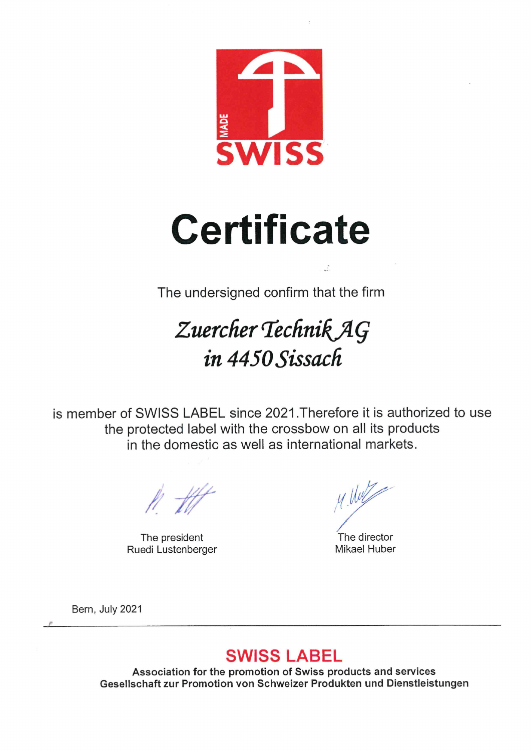

## **Certificate**

The undersigned confirm that the firm

## Zuercher Technik AG in 4450 Sissach

is member of SWISS LABEL since 2021. Therefore it is authorized to use the protected label with the crossbow on all its products in the domestic as well as international markets.

The president Ruedi Lustenberger

M. Will

The director **Mikael Huber** 

Bern, July 2021

## **SWISS LABEL**

Association for the promotion of Swiss products and services Gesellschaft zur Promotion von Schweizer Produkten und Dienstleistungen